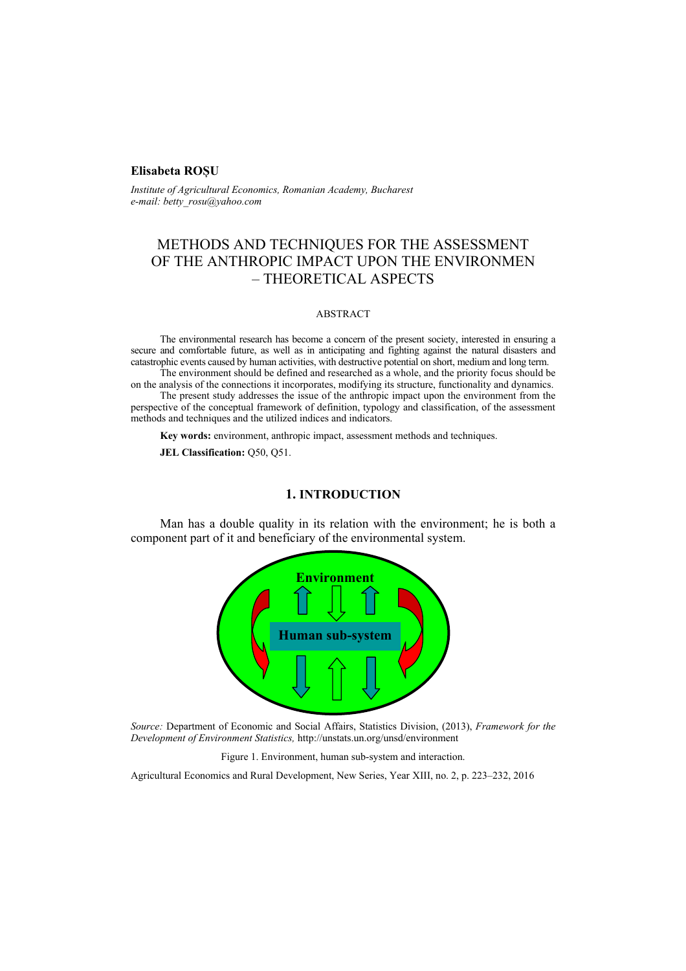# **Elisabeta ROȘU**

*Institute of Agricultural Economics, Romanian Academy, Bucharest e-mail: betty\_rosu@yahoo.com* 

# METHODS AND TECHNIQUES FOR THE ASSESSMENT OF THE ANTHROPIC IMPACT UPON THE ENVIRONMEN – THEORETICAL ASPECTS

#### ABSTRACT

The environmental research has become a concern of the present society, interested in ensuring a secure and comfortable future, as well as in anticipating and fighting against the natural disasters and catastrophic events caused by human activities, with destructive potential on short, medium and long term.

The environment should be defined and researched as a whole, and the priority focus should be on the analysis of the connections it incorporates, modifying its structure, functionality and dynamics. The present study addresses the issue of the anthropic impact upon the environment from the perspective of the conceptual framework of definition, typology and classification, of the assessment methods and techniques and the utilized indices and indicators.

**Key words:** environment, anthropic impact, assessment methods and techniques.

**JEL Classification:** Q50, Q51.

### **1. INTRODUCTION**

Man has a double quality in its relation with the environment; he is both a component part of it and beneficiary of the environmental system.



*Source:* Department of Economic and Social Affairs, Statistics Division, (2013), *Framework for the Development of Environment Statistics,* http://unstats.un.org/unsd/environment



Agricultural Economics and Rural Development, New Series, Year XIII, no. 2, p. 223–232, 2016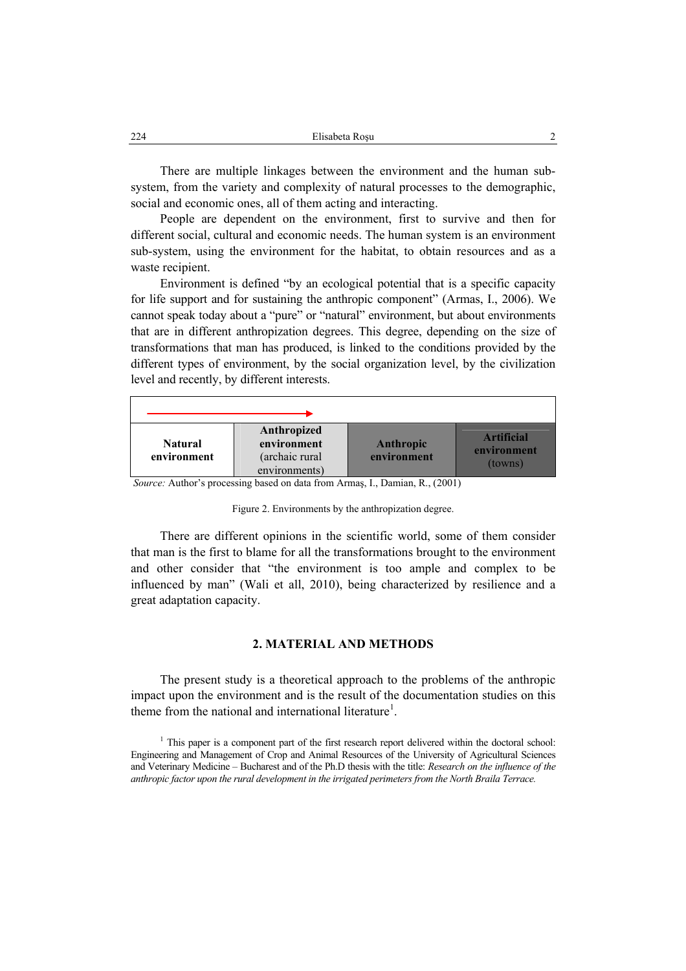| 224 | Elisabeta Rosu |  |
|-----|----------------|--|
|     |                |  |

There are multiple linkages between the environment and the human subsystem, from the variety and complexity of natural processes to the demographic, social and economic ones, all of them acting and interacting.

People are dependent on the environment, first to survive and then for different social, cultural and economic needs. The human system is an environment sub-system, using the environment for the habitat, to obtain resources and as a waste recipient.

Environment is defined "by an ecological potential that is a specific capacity for life support and for sustaining the anthropic component" (Armas, I., 2006). We cannot speak today about a "pure" or "natural" environment, but about environments that are in different anthropization degrees. This degree, depending on the size of transformations that man has produced, is linked to the conditions provided by the different types of environment, by the social organization level, by the civilization level and recently, by different interests.



Figure 2. Environments by the anthropization degree.

There are different opinions in the scientific world, some of them consider that man is the first to blame for all the transformations brought to the environment and other consider that "the environment is too ample and complex to be influenced by man" (Wali et all, 2010), being characterized by resilience and a great adaptation capacity.

# **2. MATERIAL AND METHODS**

The present study is a theoretical approach to the problems of the anthropic impact upon the environment and is the result of the documentation studies on this theme from the national and international literature<sup>1</sup>.

<sup>&</sup>lt;sup>1</sup> This paper is a component part of the first research report delivered within the doctoral school: Engineering and Management of Crop and Animal Resources of the University of Agricultural Sciences and Veterinary Medicine – Bucharest and of the Ph.D thesis with the title: *Research on the influence of the anthropic factor upon the rural development in the irrigated perimeters from the North Braila Terrace.*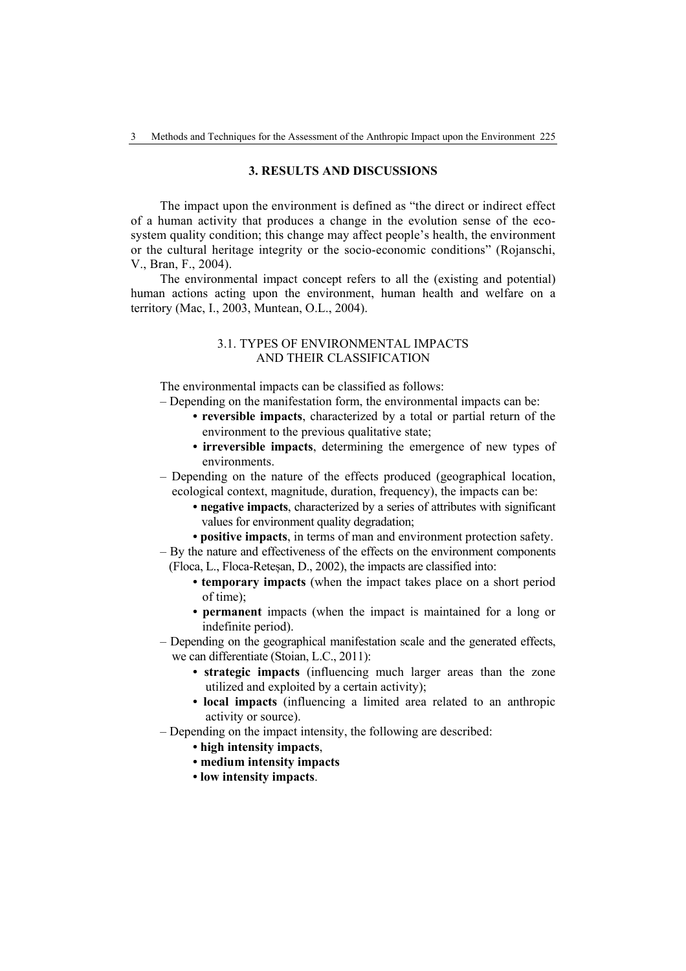# **3. RESULTS AND DISCUSSIONS**

The impact upon the environment is defined as "the direct or indirect effect of a human activity that produces a change in the evolution sense of the ecosystem quality condition; this change may affect people's health, the environment or the cultural heritage integrity or the socio-economic conditions" (Rojanschi, V., Bran, F., 2004).

The environmental impact concept refers to all the (existing and potential) human actions acting upon the environment, human health and welfare on a territory (Mac, I., 2003, Muntean, O.L., 2004).

# 3.1. TYPES OF ENVIRONMENTAL IMPACTS AND THEIR CLASSIFICATION

The environmental impacts can be classified as follows:

- Depending on the manifestation form, the environmental impacts can be:
	- **reversible impacts**, characterized by a total or partial return of the environment to the previous qualitative state;
	- **irreversible impacts**, determining the emergence of new types of environments.
- Depending on the nature of the effects produced (geographical location, ecological context, magnitude, duration, frequency), the impacts can be:
	- **negative impacts**, characterized by a series of attributes with significant values for environment quality degradation;
	- **positive impacts**, in terms of man and environment protection safety.
- By the nature and effectiveness of the effects on the environment components (Floca, L., Floca-Reteșan, D., 2002), the impacts are classified into:
	- **temporary impacts** (when the impact takes place on a short period of time);
	- **permanent** impacts (when the impact is maintained for a long or indefinite period).
- Depending on the geographical manifestation scale and the generated effects, we can differentiate (Stoian, L.C., 2011):
	- **strategic impacts** (influencing much larger areas than the zone utilized and exploited by a certain activity);
	- **local impacts** (influencing a limited area related to an anthropic activity or source).
- Depending on the impact intensity, the following are described:
	- **high intensity impacts**,
	- **medium intensity impacts**
	- **low intensity impacts**.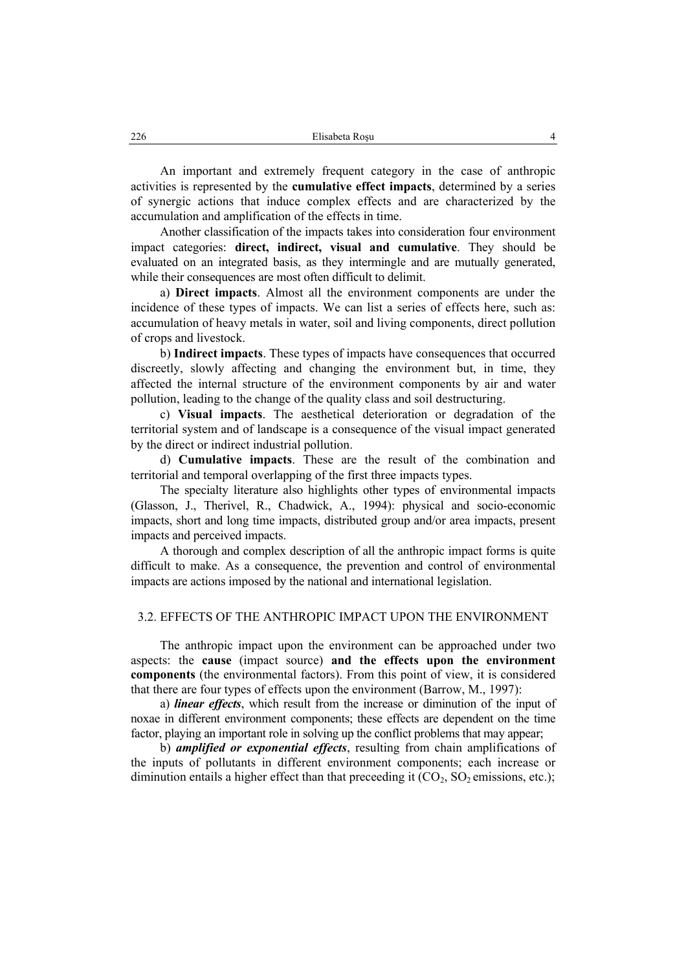An important and extremely frequent category in the case of anthropic activities is represented by the **cumulative effect impacts**, determined by a series of synergic actions that induce complex effects and are characterized by the accumulation and amplification of the effects in time.

Another classification of the impacts takes into consideration four environment impact categories: **direct, indirect, visual and cumulative**. They should be evaluated on an integrated basis, as they intermingle and are mutually generated, while their consequences are most often difficult to delimit.

a) **Direct impacts**. Almost all the environment components are under the incidence of these types of impacts. We can list a series of effects here, such as: accumulation of heavy metals in water, soil and living components, direct pollution of crops and livestock.

b) **Indirect impacts**. These types of impacts have consequences that occurred discreetly, slowly affecting and changing the environment but, in time, they affected the internal structure of the environment components by air and water pollution, leading to the change of the quality class and soil destructuring.

c) **Visual impacts**. The aesthetical deterioration or degradation of the territorial system and of landscape is a consequence of the visual impact generated by the direct or indirect industrial pollution.

d) **Cumulative impacts**. These are the result of the combination and territorial and temporal overlapping of the first three impacts types.

The specialty literature also highlights other types of environmental impacts (Glasson, J., Therivel, R., Chadwick, A., 1994): physical and socio-economic impacts, short and long time impacts, distributed group and/or area impacts, present impacts and perceived impacts.

A thorough and complex description of all the anthropic impact forms is quite difficult to make. As a consequence, the prevention and control of environmental impacts are actions imposed by the national and international legislation.

### 3.2. EFFECTS OF THE ANTHROPIC IMPACT UPON THE ENVIRONMENT

The anthropic impact upon the environment can be approached under two aspects: the **cause** (impact source) **and the effects upon the environment components** (the environmental factors). From this point of view, it is considered that there are four types of effects upon the environment (Barrow, M., 1997):

a) *linear effects*, which result from the increase or diminution of the input of noxae in different environment components; these effects are dependent on the time factor, playing an important role in solving up the conflict problems that may appear;

b) *amplified or exponential effects*, resulting from chain amplifications of the inputs of pollutants in different environment components; each increase or diminution entails a higher effect than that preceeding it  $(CO_2, SO_2$  emissions, etc.);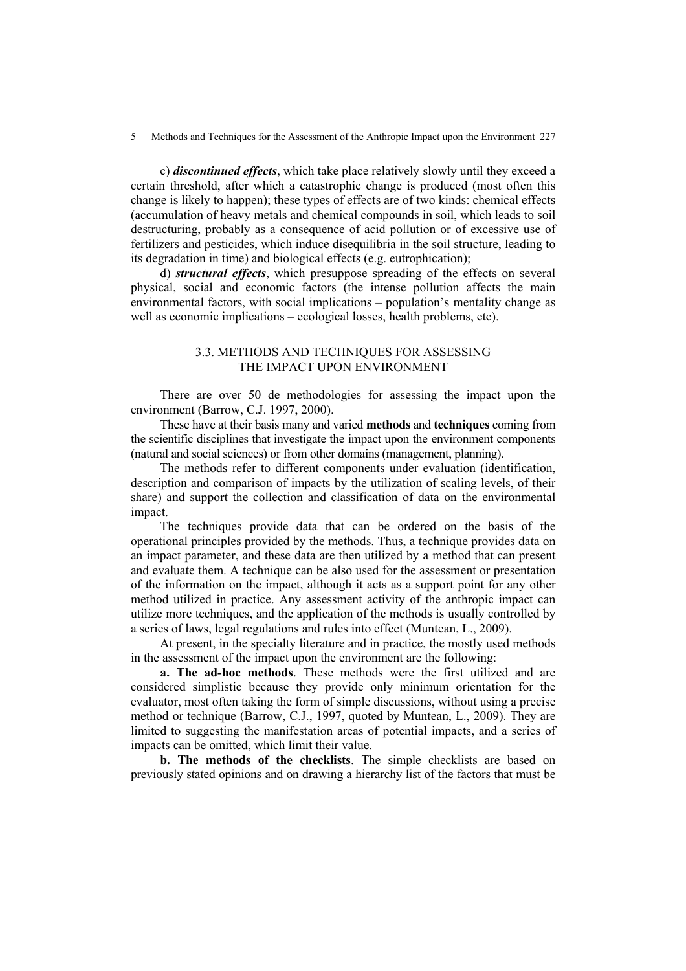c) *discontinued effects*, which take place relatively slowly until they exceed a certain threshold, after which a catastrophic change is produced (most often this change is likely to happen); these types of effects are of two kinds: chemical effects (accumulation of heavy metals and chemical compounds in soil, which leads to soil destructuring, probably as a consequence of acid pollution or of excessive use of fertilizers and pesticides, which induce disequilibria in the soil structure, leading to its degradation in time) and biological effects (e.g. eutrophication);

d) *structural effects*, which presuppose spreading of the effects on several physical, social and economic factors (the intense pollution affects the main environmental factors, with social implications – population's mentality change as well as economic implications – ecological losses, health problems, etc).

# 3.3. METHODS AND TECHNIQUES FOR ASSESSING THE IMPACT UPON ENVIRONMENT

There are over 50 de methodologies for assessing the impact upon the environment (Barrow, C.J. 1997, 2000).

These have at their basis many and varied **methods** and **techniques** coming from the scientific disciplines that investigate the impact upon the environment components (natural and social sciences) or from other domains (management, planning).

The methods refer to different components under evaluation (identification, description and comparison of impacts by the utilization of scaling levels, of their share) and support the collection and classification of data on the environmental impact.

The techniques provide data that can be ordered on the basis of the operational principles provided by the methods. Thus, a technique provides data on an impact parameter, and these data are then utilized by a method that can present and evaluate them. A technique can be also used for the assessment or presentation of the information on the impact, although it acts as a support point for any other method utilized in practice. Any assessment activity of the anthropic impact can utilize more techniques, and the application of the methods is usually controlled by a series of laws, legal regulations and rules into effect (Muntean, L., 2009).

At present, in the specialty literature and in practice, the mostly used methods in the assessment of the impact upon the environment are the following:

**a. The ad-hoc methods**. These methods were the first utilized and are considered simplistic because they provide only minimum orientation for the evaluator, most often taking the form of simple discussions, without using a precise method or technique (Barrow, C.J., 1997, quoted by Muntean, L., 2009). They are limited to suggesting the manifestation areas of potential impacts, and a series of impacts can be omitted, which limit their value.

**b. The methods of the checklists**. The simple checklists are based on previously stated opinions and on drawing a hierarchy list of the factors that must be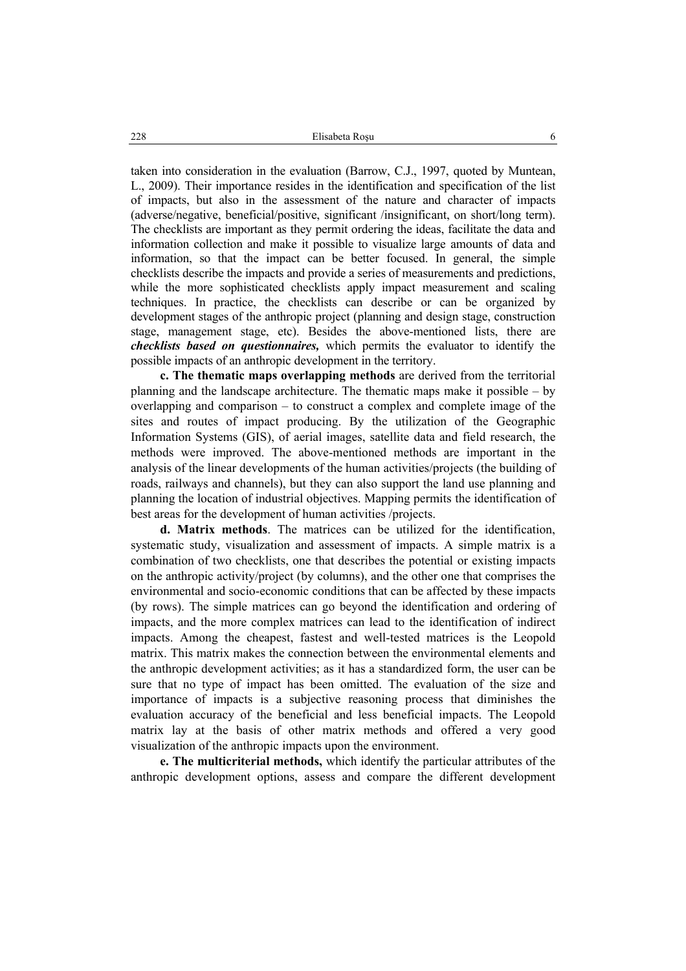taken into consideration in the evaluation (Barrow, C.J., 1997, quoted by Muntean, L., 2009). Their importance resides in the identification and specification of the list of impacts, but also in the assessment of the nature and character of impacts (adverse/negative, beneficial/positive, significant /insignificant, on short/long term). The checklists are important as they permit ordering the ideas, facilitate the data and information collection and make it possible to visualize large amounts of data and information, so that the impact can be better focused. In general, the simple checklists describe the impacts and provide a series of measurements and predictions, while the more sophisticated checklists apply impact measurement and scaling techniques. In practice, the checklists can describe or can be organized by development stages of the anthropic project (planning and design stage, construction stage, management stage, etc). Besides the above-mentioned lists, there are *checklists based on questionnaires,* which permits the evaluator to identify the possible impacts of an anthropic development in the territory.

**c. The thematic maps overlapping methods** are derived from the territorial planning and the landscape architecture. The thematic maps make it possible – by overlapping and comparison – to construct a complex and complete image of the sites and routes of impact producing. By the utilization of the Geographic Information Systems (GIS), of aerial images, satellite data and field research, the methods were improved. The above-mentioned methods are important in the analysis of the linear developments of the human activities/projects (the building of roads, railways and channels), but they can also support the land use planning and planning the location of industrial objectives. Mapping permits the identification of best areas for the development of human activities /projects.

**d. Matrix methods**. The matrices can be utilized for the identification, systematic study, visualization and assessment of impacts. A simple matrix is a combination of two checklists, one that describes the potential or existing impacts on the anthropic activity/project (by columns), and the other one that comprises the environmental and socio-economic conditions that can be affected by these impacts (by rows). The simple matrices can go beyond the identification and ordering of impacts, and the more complex matrices can lead to the identification of indirect impacts. Among the cheapest, fastest and well-tested matrices is the Leopold matrix. This matrix makes the connection between the environmental elements and the anthropic development activities; as it has a standardized form, the user can be sure that no type of impact has been omitted. The evaluation of the size and importance of impacts is a subjective reasoning process that diminishes the evaluation accuracy of the beneficial and less beneficial impacts. The Leopold matrix lay at the basis of other matrix methods and offered a very good visualization of the anthropic impacts upon the environment.

**e. The multicriterial methods,** which identify the particular attributes of the anthropic development options, assess and compare the different development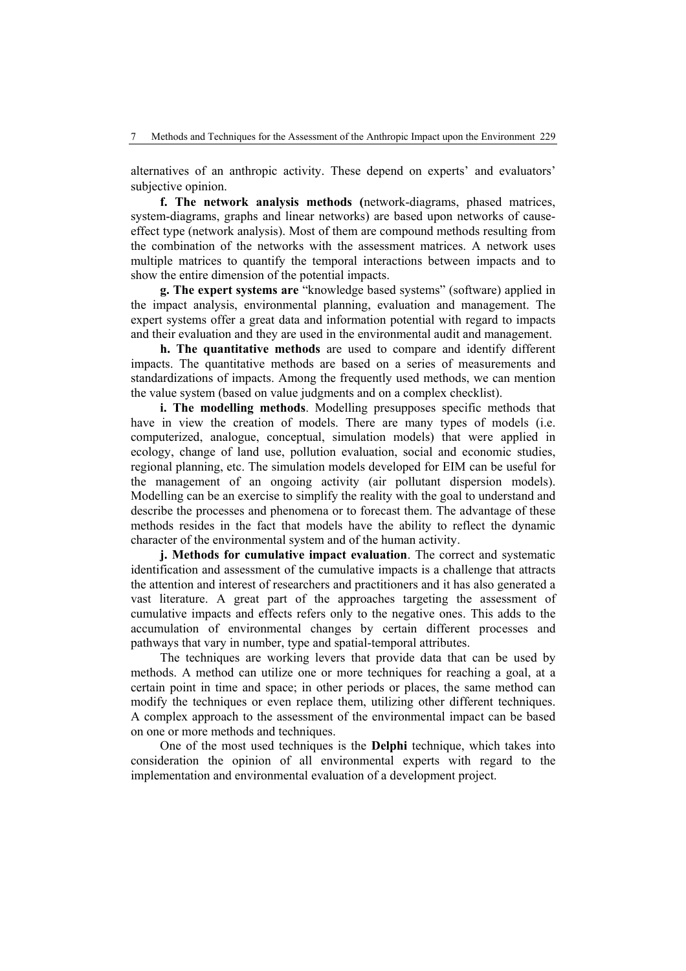alternatives of an anthropic activity. These depend on experts' and evaluators' subjective opinion.

**f. The network analysis methods (**network-diagrams, phased matrices, system-diagrams, graphs and linear networks) are based upon networks of causeeffect type (network analysis). Most of them are compound methods resulting from the combination of the networks with the assessment matrices. A network uses multiple matrices to quantify the temporal interactions between impacts and to show the entire dimension of the potential impacts.

**g. The expert systems are** "knowledge based systems" (software) applied in the impact analysis, environmental planning, evaluation and management. The expert systems offer a great data and information potential with regard to impacts and their evaluation and they are used in the environmental audit and management.

**h. The quantitative methods** are used to compare and identify different impacts. The quantitative methods are based on a series of measurements and standardizations of impacts. Among the frequently used methods, we can mention the value system (based on value judgments and on a complex checklist).

**i. The modelling methods**. Modelling presupposes specific methods that have in view the creation of models. There are many types of models (i.e. computerized, analogue, conceptual, simulation models) that were applied in ecology, change of land use, pollution evaluation, social and economic studies, regional planning, etc. The simulation models developed for EIM can be useful for the management of an ongoing activity (air pollutant dispersion models). Modelling can be an exercise to simplify the reality with the goal to understand and describe the processes and phenomena or to forecast them. The advantage of these methods resides in the fact that models have the ability to reflect the dynamic character of the environmental system and of the human activity.

**j. Methods for cumulative impact evaluation**. The correct and systematic identification and assessment of the cumulative impacts is a challenge that attracts the attention and interest of researchers and practitioners and it has also generated a vast literature. A great part of the approaches targeting the assessment of cumulative impacts and effects refers only to the negative ones. This adds to the accumulation of environmental changes by certain different processes and pathways that vary in number, type and spatial-temporal attributes.

The techniques are working levers that provide data that can be used by methods. A method can utilize one or more techniques for reaching a goal, at a certain point in time and space; in other periods or places, the same method can modify the techniques or even replace them, utilizing other different techniques. A complex approach to the assessment of the environmental impact can be based on one or more methods and techniques.

One of the most used techniques is the **Delphi** technique, which takes into consideration the opinion of all environmental experts with regard to the implementation and environmental evaluation of a development project.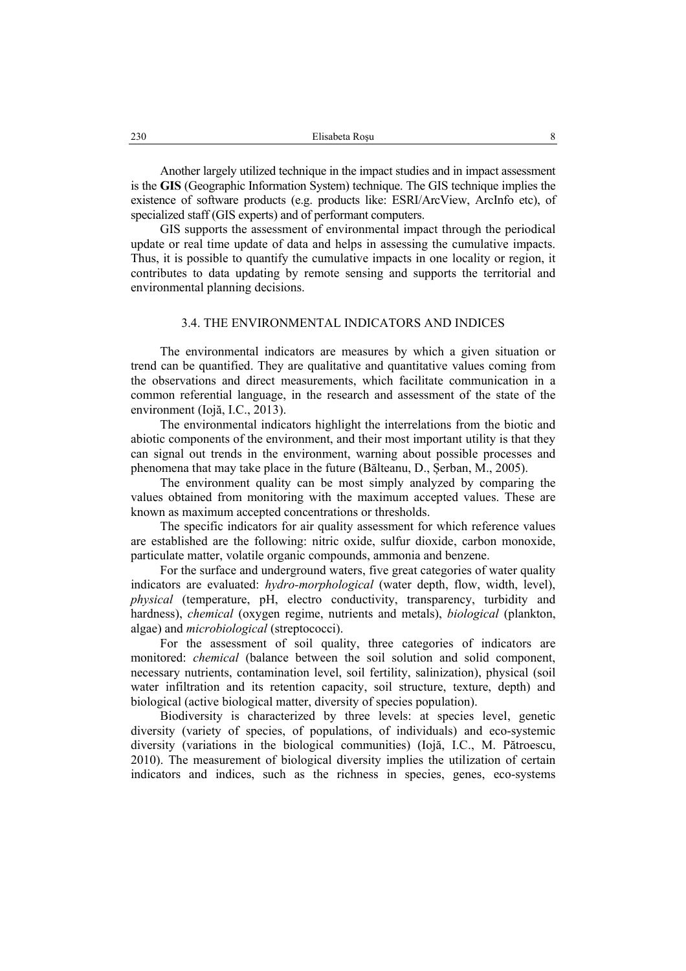Another largely utilized technique in the impact studies and in impact assessment is the **GIS** (Geographic Information System) technique. The GIS technique implies the existence of software products (e.g. products like: ESRI/ArcView, ArcInfo etc), of specialized staff (GIS experts) and of performant computers.

GIS supports the assessment of environmental impact through the periodical update or real time update of data and helps in assessing the cumulative impacts. Thus, it is possible to quantify the cumulative impacts in one locality or region, it contributes to data updating by remote sensing and supports the territorial and environmental planning decisions.

# 3.4. THE ENVIRONMENTAL INDICATORS AND INDICES

The environmental indicators are measures by which a given situation or trend can be quantified. They are qualitative and quantitative values coming from the observations and direct measurements, which facilitate communication in a common referential language, in the research and assessment of the state of the environment (Iojă, I.C., 2013).

The environmental indicators highlight the interrelations from the biotic and abiotic components of the environment, and their most important utility is that they can signal out trends in the environment, warning about possible processes and phenomena that may take place in the future (Bălteanu, D., Șerban, M., 2005).

The environment quality can be most simply analyzed by comparing the values obtained from monitoring with the maximum accepted values. These are known as maximum accepted concentrations or thresholds.

The specific indicators for air quality assessment for which reference values are established are the following: nitric oxide, sulfur dioxide, carbon monoxide, particulate matter, volatile organic compounds, ammonia and benzene.

For the surface and underground waters, five great categories of water quality indicators are evaluated: *hydro-morphological* (water depth, flow, width, level), *physical* (temperature, pH, electro conductivity, transparency, turbidity and hardness), *chemical* (oxygen regime, nutrients and metals), *biological* (plankton, algae) and *microbiological* (streptococci).

For the assessment of soil quality, three categories of indicators are monitored: *chemical* (balance between the soil solution and solid component, necessary nutrients, contamination level, soil fertility, salinization), physical (soil water infiltration and its retention capacity, soil structure, texture, depth) and biological (active biological matter, diversity of species population).

Biodiversity is characterized by three levels: at species level, genetic diversity (variety of species, of populations, of individuals) and eco-systemic diversity (variations in the biological communities) (Iojă, I.C., M. Pătroescu, 2010). The measurement of biological diversity implies the utilization of certain indicators and indices, such as the richness in species, genes, eco-systems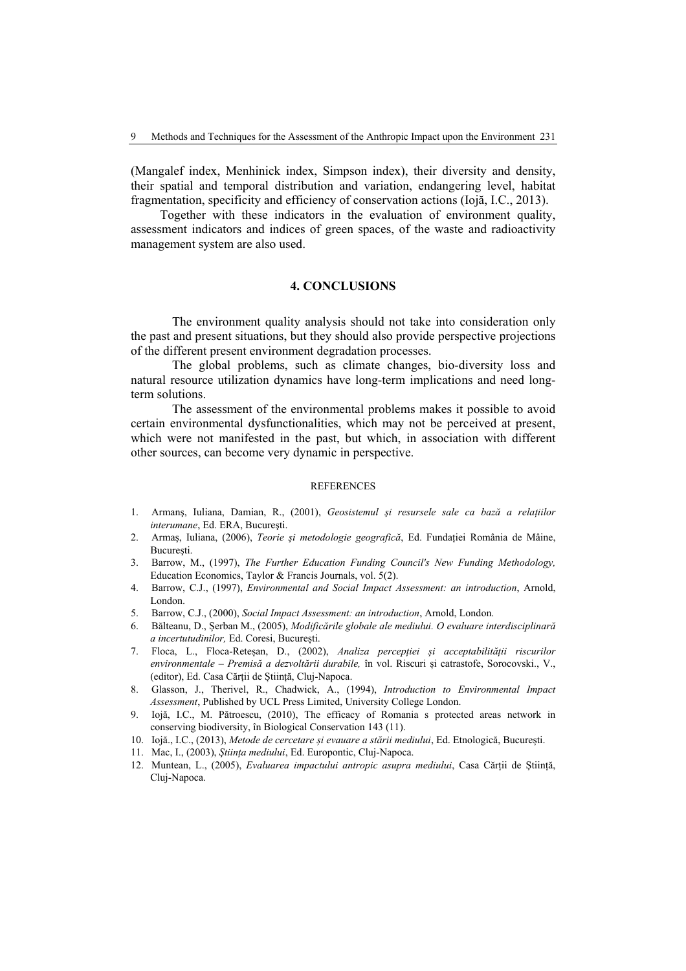(Mangalef index, Menhinick index, Simpson index), their diversity and density, their spatial and temporal distribution and variation, endangering level, habitat fragmentation, specificity and efficiency of conservation actions (Iojă, I.C., 2013).

Together with these indicators in the evaluation of environment quality, assessment indicators and indices of green spaces, of the waste and radioactivity management system are also used.

### **4. CONCLUSIONS**

The environment quality analysis should not take into consideration only the past and present situations, but they should also provide perspective projections of the different present environment degradation processes.

The global problems, such as climate changes, bio-diversity loss and natural resource utilization dynamics have long-term implications and need longterm solutions.

The assessment of the environmental problems makes it possible to avoid certain environmental dysfunctionalities, which may not be perceived at present, which were not manifested in the past, but which, in association with different other sources, can become very dynamic in perspective.

#### **REFERENCES**

- 1. Armanş, Iuliana, Damian, R., (2001), *Geosistemul şi resursele sale ca bază a relaţiilor interumane*, Ed. ERA, Bucureşti.
- 2. Armas, Iuliana, (2006), *Teorie și metodologie geografică*, Ed. Fundației România de Mâine, Bucureşti.
- 3. Barrow, M., (1997), *The Further Education Funding Council's New Funding Methodology,* Education Economics, Taylor & Francis Journals, vol. 5(2).
- 4. Barrow, C.J., (1997), *Environmental and Social Impact Assessment: an introduction*, Arnold, London.
- 5. Barrow, C.J., (2000), *Social Impact Assessment: an introduction*, Arnold, London.
- 6. Bălteanu, D., Șerban M., (2005), *Modificările globale ale mediului. O evaluare interdisciplinară a incertutudinilor,* Ed. Coresi, București.
- 7. Floca, L., Floca-Reteșan, D., (2002), *Analiza percepției și acceptabilității riscurilor environmentale – Premisă a dezvoltării durabile,* în vol. Riscuri și catrastofe, Sorocovski., V., (editor), Ed. Casa Cărții de Știință, Cluj-Napoca.
- 8. Glasson, J., Therivel, R., Chadwick, A., (1994), *Introduction to Environmental Impact Assessment*, Published by UCL Press Limited, University College London.
- 9. Iojă, I.C., M. Pătroescu, (2010), The efficacy of Romania s protected areas network in conserving biodiversity, în Biological Conservation 143 (11).
- 10. Iojă., I.C., (2013), *Metode de cercetare și evauare a stării mediului*, Ed. Etnologică, București.
- 11. Mac, I., (2003), *Ştiinţa mediului*, Ed. Europontic, Cluj-Napoca.
- 12. Muntean, L., (2005), *Evaluarea impactului antropic asupra mediului*, Casa Cărții de Știință, Cluj-Napoca.